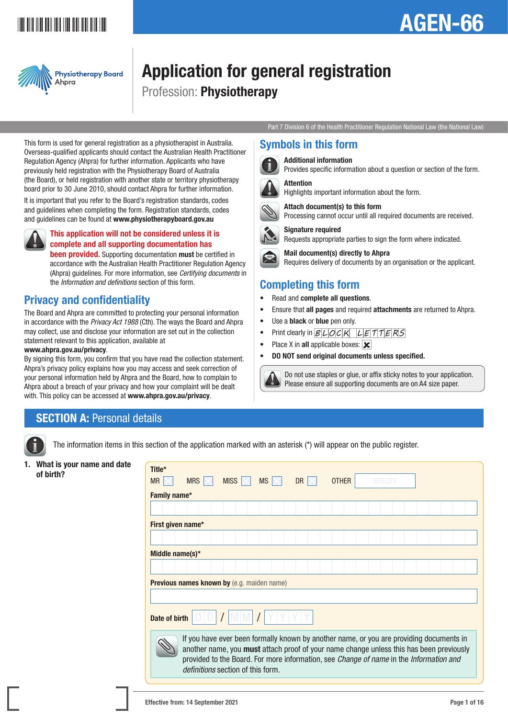## \*AGEN-661\*

# AGEN-66



## Application for general registration Profession: Physiotherapy

#### Part 7 Division 6 of the Health Practitioner Regulation National Law (the National Law)

Provides specific information about a question or section of the form.

This form is used for general registration as a physiotherapist in Australia. Overseas-qualified applicants should contact the Australian Health Practitioner Regulation Agency (Ahpra) for further information. Applicants who have previously held registration with the Physiotherapy Board of Australia (the Board), or held registration with another state or territory physiotherapy board prior to 30 June 2010, should contact Ahpra for further information.

It is important that you refer to the Board's registration standards, codes and guidelines when completing the form. Registration standards, codes and guidelines can be found at www.physiotherapyboard.gov.au



#### This application will not be considered unless it is complete and all supporting documentation has

**been provided.** Supporting documentation must be certified in accordance with the Australian Health Practitioner Regulation Agency (Ahpra) guidelines. For more information, see *Certifying documents* in the *Information and definitions* section of this form.

## Privacy and confidentiality

The Board and Ahpra are committed to protecting your personal information in accordance with the *Privacy Act 1988* (Cth). The ways the Board and Ahpra may collect, use and disclose your information are set out in the collection statement relevant to this application, available at

#### www.ahpra.gov.au/privacy.

By signing this form, you confirm that you have read the collection statement. Ahpra's privacy policy explains how you may access and seek correction of your personal information held by Ahpra and the Board, how to complain to Ahpra about a breach of your privacy and how your complaint will be dealt with. This policy can be accessed at www.ahpra.gov.au/privacy.

## **SECTION A: Personal details**

The information items in this section of the application marked with an asterisk (\*) will appear on the public register.

1. What is your name and date of birth?

| Title*<br><b>MR</b> | MRS $\vert \times \vert$                          | MISS                                                                                                                                                                                                                                                                                                                                   | $MS \times$ | DR | <b>OTHER</b> | <b>SPECIFY</b> |  |  |  |
|---------------------|---------------------------------------------------|----------------------------------------------------------------------------------------------------------------------------------------------------------------------------------------------------------------------------------------------------------------------------------------------------------------------------------------|-------------|----|--------------|----------------|--|--|--|
| Family name*        |                                                   |                                                                                                                                                                                                                                                                                                                                        |             |    |              |                |  |  |  |
|                     |                                                   |                                                                                                                                                                                                                                                                                                                                        |             |    |              |                |  |  |  |
| First given name*   |                                                   |                                                                                                                                                                                                                                                                                                                                        |             |    |              |                |  |  |  |
|                     |                                                   |                                                                                                                                                                                                                                                                                                                                        |             |    |              |                |  |  |  |
| Middle name(s)*     |                                                   |                                                                                                                                                                                                                                                                                                                                        |             |    |              |                |  |  |  |
|                     |                                                   |                                                                                                                                                                                                                                                                                                                                        |             |    |              |                |  |  |  |
|                     | <b>Previous names known by</b> (e.g. maiden name) |                                                                                                                                                                                                                                                                                                                                        |             |    |              |                |  |  |  |
|                     |                                                   |                                                                                                                                                                                                                                                                                                                                        |             |    |              |                |  |  |  |
| Date of birth       |                                                   |                                                                                                                                                                                                                                                                                                                                        |             |    |              |                |  |  |  |
|                     |                                                   | If you have ever been formally known by another name, or you are providing documents in<br>another name, you must attach proof of your name change unless this has been previously<br>provided to the Board. For more information, see <i>Change of name</i> in the <i>Information and</i><br><i>definitions</i> section of this form. |             |    |              |                |  |  |  |

#### Processing cannot occur until all required documents are received. Signature required

Attach document(s) to this form

Symbols in this form

Attention

Additional information



Requests appropriate parties to sign the form where indicated. Mail document(s) directly to Ahpra

Highlights important information about the form.

Requires delivery of documents by an organisation or the applicant.

## Completing this form

- Read and complete all questions.
- Ensure that all pages and required attachments are returned to Ahpra.
- Use a black or blue pen only.
- Print clearly in *B L OC K L E T T E RS*
- Place X in all applicable boxes:  $\mathbf{\times}$
- DO NOT send original documents unless specified.



 Do not use staples or glue, or affix sticky notes to your application. Please ensure all supporting documents are on A4 size paper.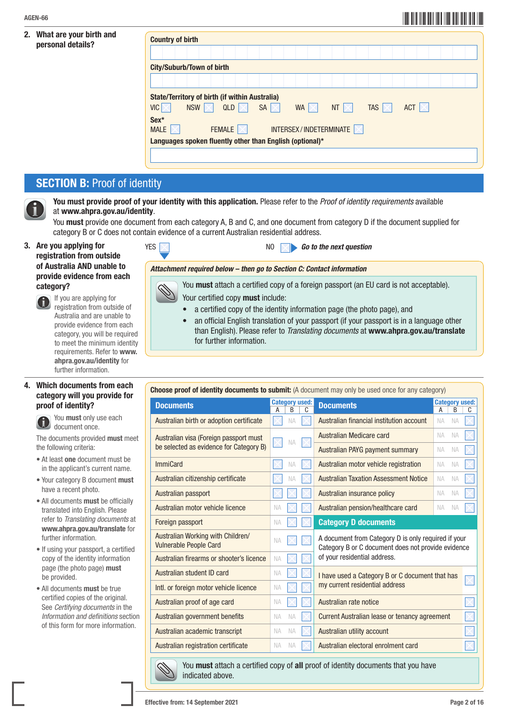#### 2. What are your birth and personal details?

|                            | <b>City/Suburb/Town of birth</b> |                 |                        |                                                          |             |                  |                  |  |
|----------------------------|----------------------------------|-----------------|------------------------|----------------------------------------------------------|-------------|------------------|------------------|--|
|                            |                                  |                 |                        |                                                          |             |                  |                  |  |
| VIC<br>Sex*<br><b>MALE</b> | NSW                              | QLD<br>FEMALE X | SA $\overline{\times}$ | <b>WA</b><br>IХ<br>INTERSEX/INDETERMINATE                | NT $\times$ | TAS $\mathbb{K}$ | ACT $\mathbb{K}$ |  |
|                            |                                  |                 |                        | Languages spoken fluently other than English (optional)* |             |                  |                  |  |

## **SECTION B: Proof of identity**

You must provide proof of your identity with this application. Please refer to the *Proof of identity requirements* available at www.ahpra.gov.au/identity.

You must provide one document from each category A, B and C, and one document from category D if the document supplied for category B or C does not contain evidence of a current Australian residential address.

#### 3. Are you applying for registration from outside of Australia AND unable to provide evidence from each category?

 If you are applying for registration from outside of Australia and are unable to provide evidence from each category, you will be required to meet the minimum identity requirements. Refer to [www.](http://www.ahpra.gov.au/identity) [ahpra.gov.au/identity](http://www.ahpra.gov.au/identity) for further information.

#### 4. Which documents from each category will you provide for proof of identity?



 You must only use each document once.

The documents provided must meet the following criteria:

- At least one document must be in the applicant's current name.
- Your category B document must have a recent photo.
- All documents must be officially translated into English. Please refer to *Translating documents* at www.ahpra.gov.au/translate for further information.
- If using your passport, a certified copy of the identity information page (the photo page) must be provided.
- All documents must be true certified copies of the original. See *Certifying documents* in the *Information and definitions* section of this form for more information.



*Attachment required below – then go to Section C: Contact information*

You must attach a certified copy of a foreign passport (an EU card is not acceptable). Your certified copy **must** include:

- a certified copy of the identity information page (the photo page), and
- an official English translation of your passport (if your passport is in a language other than English). Please refer to *Translating documents* at www.ahpra.gov.au/translate for further information.

| <b>Choose proof of identity documents to submit:</b> (A document may only be used once for any category) |                                 |  |                                                                                                           |           |           |                             |  |  |  |
|----------------------------------------------------------------------------------------------------------|---------------------------------|--|-----------------------------------------------------------------------------------------------------------|-----------|-----------|-----------------------------|--|--|--|
| <b>Documents</b>                                                                                         | <b>Category used:</b><br>A<br>B |  | <b>Documents</b>                                                                                          | А         | B         | <b>Category used:</b><br>C. |  |  |  |
| Australian birth or adoption certificate                                                                 | <b>NA</b>                       |  | Australian financial institution account                                                                  | <b>NA</b> | <b>NA</b> |                             |  |  |  |
| Australian visa (Foreign passport must                                                                   | NΑ                              |  | Australian Medicare card                                                                                  | <b>NA</b> | <b>NA</b> |                             |  |  |  |
| be selected as evidence for Category B)                                                                  |                                 |  | Australian PAYG payment summary                                                                           | <b>NA</b> | <b>NA</b> |                             |  |  |  |
| <b>ImmiCard</b>                                                                                          | <b>NA</b>                       |  | Australian motor vehicle registration                                                                     | <b>NA</b> | <b>NA</b> |                             |  |  |  |
| Australian citizenship certificate                                                                       | <b>NA</b>                       |  | <b>Australian Taxation Assessment Notice</b>                                                              | <b>NA</b> | <b>NA</b> |                             |  |  |  |
| Australian passport                                                                                      |                                 |  | Australian insurance policy                                                                               | <b>NA</b> | <b>NA</b> |                             |  |  |  |
| Australian motor vehicle licence                                                                         | <b>NA</b>                       |  | Australian pension/healthcare card                                                                        | <b>NA</b> | <b>NA</b> |                             |  |  |  |
| Foreign passport                                                                                         | <b>NA</b>                       |  | <b>Category D documents</b>                                                                               |           |           |                             |  |  |  |
| Australian Working with Children/<br><b>Vulnerable People Card</b>                                       | <b>NA</b>                       |  | A document from Category D is only required if your<br>Category B or C document does not provide evidence |           |           |                             |  |  |  |
| Australian firearms or shooter's licence                                                                 | <b>NA</b>                       |  | of your residential address.                                                                              |           |           |                             |  |  |  |
| Australian student ID card                                                                               | <b>NA</b>                       |  | I have used a Category B or C document that has                                                           |           |           |                             |  |  |  |
| Intl. or foreign motor vehicle licence                                                                   | <b>NA</b>                       |  | my current residential address                                                                            |           |           |                             |  |  |  |
| Australian proof of age card                                                                             | <b>NA</b>                       |  | Australian rate notice                                                                                    |           |           |                             |  |  |  |
| Australian government benefits                                                                           | <b>NA</b><br><b>NA</b>          |  | Current Australian lease or tenancy agreement                                                             |           |           |                             |  |  |  |
| Australian academic transcript                                                                           | <b>NA</b><br><b>NA</b>          |  | Australian utility account                                                                                |           |           |                             |  |  |  |
| Australian registration certificate                                                                      | <b>NA</b><br><b>NA</b>          |  | Australian electoral enrolment card                                                                       |           |           |                             |  |  |  |



You must attach a certified copy of all proof of identity documents that you have indicated above.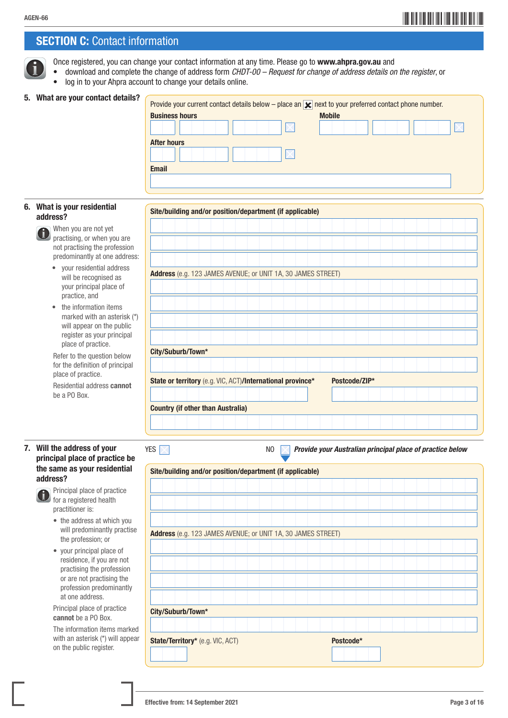## \*AGEN-663\* AGEN-66

## **SECTION C: Contact information**

Once registered, you can change your contact information at any time. Please go to www.ahpra.gov.au and

• download and complete the change of address form *CHDT-00 – Request for change of address details on the register*, or

• log in to your Ahpra account to change your details online.

#### 5. What are your contact details?

| <b>Business hours</b> | <b>Mobile</b> |  |
|-----------------------|---------------|--|
|                       |               |  |
| <b>After hours</b>    |               |  |
|                       |               |  |
|                       |               |  |
| <b>Email</b>          |               |  |

#### 6. What is your residential address?

 When you are not yet practising, or when you are not practising the profession predominantly at one address:

- your residential address will be recognised as your principal place of practice, and
- the information items marked with an asterisk (\*) will appear on the public register as your principal place of practice.

 Refer to the question below for the definition of principal place of practice.

 Residential address cannot be a PO Box.

#### 7. Will the address of your principal place of practice be the same as your residential address?

 Principal place of practice for a registered health practitioner is:

- the address at which you will predominantly practise the profession; or
- your principal place of residence, if you are not practising the profession or are not practising the profession predominantly at one address.

Principal place of practice cannot be a PO Box.

 The information items marked with an asterisk (\*) will appear on the public register.

|                   |  |  |                                          |  |  | Site/building and/or position/department (if applicable)     |  |               |  |  |  |  |  |
|-------------------|--|--|------------------------------------------|--|--|--------------------------------------------------------------|--|---------------|--|--|--|--|--|
|                   |  |  |                                          |  |  |                                                              |  |               |  |  |  |  |  |
|                   |  |  |                                          |  |  |                                                              |  |               |  |  |  |  |  |
|                   |  |  |                                          |  |  |                                                              |  |               |  |  |  |  |  |
|                   |  |  |                                          |  |  |                                                              |  |               |  |  |  |  |  |
|                   |  |  |                                          |  |  | Address (e.g. 123 JAMES AVENUE; or UNIT 1A, 30 JAMES STREET) |  |               |  |  |  |  |  |
|                   |  |  |                                          |  |  |                                                              |  |               |  |  |  |  |  |
|                   |  |  |                                          |  |  |                                                              |  |               |  |  |  |  |  |
|                   |  |  |                                          |  |  |                                                              |  |               |  |  |  |  |  |
|                   |  |  |                                          |  |  |                                                              |  |               |  |  |  |  |  |
|                   |  |  |                                          |  |  |                                                              |  |               |  |  |  |  |  |
| City/Suburb/Town* |  |  |                                          |  |  |                                                              |  |               |  |  |  |  |  |
|                   |  |  |                                          |  |  |                                                              |  |               |  |  |  |  |  |
|                   |  |  |                                          |  |  | State or territory (e.g. VIC, ACT)/International province*   |  | Postcode/ZIP* |  |  |  |  |  |
|                   |  |  |                                          |  |  |                                                              |  |               |  |  |  |  |  |
|                   |  |  |                                          |  |  |                                                              |  |               |  |  |  |  |  |
|                   |  |  | <b>Country (if other than Australia)</b> |  |  |                                                              |  |               |  |  |  |  |  |
|                   |  |  |                                          |  |  |                                                              |  |               |  |  |  |  |  |
|                   |  |  |                                          |  |  |                                                              |  |               |  |  |  |  |  |

|  |  | City/Suburb/Town* |  | State/Territory* (e.g. VIC, ACT) |  |  |  | Site/building and/or position/department (if applicable) | Address (e.g. 123 JAMES AVENUE; or UNIT 1A, 30 JAMES STREET) | Postcode* |  |  |  |  |
|--|--|-------------------|--|----------------------------------|--|--|--|----------------------------------------------------------|--------------------------------------------------------------|-----------|--|--|--|--|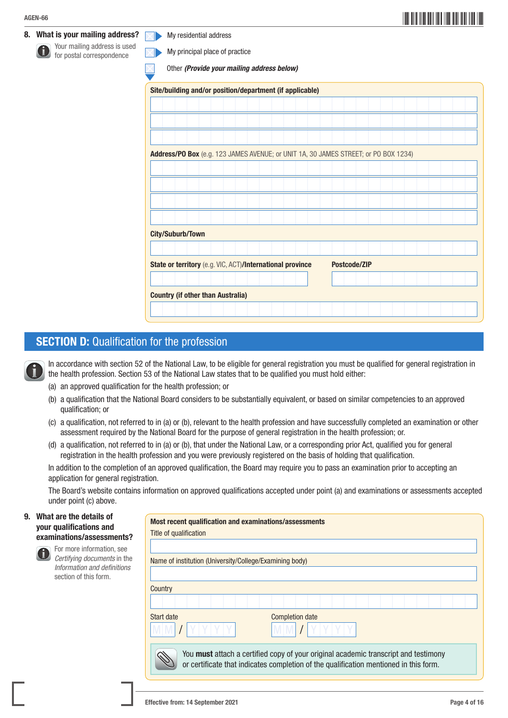#### 8. What is your mailing address?

Your mailing address is used for postal correspondence

|  |  | My residential address |  |
|--|--|------------------------|--|
|--|--|------------------------|--|

My principal place of practice

Other *(Provide your mailing address below)*

| Site/building and/or position/department (if applicable)                            |  |  |  |  |  |  |                     |  |  |  |  |  |
|-------------------------------------------------------------------------------------|--|--|--|--|--|--|---------------------|--|--|--|--|--|
|                                                                                     |  |  |  |  |  |  |                     |  |  |  |  |  |
|                                                                                     |  |  |  |  |  |  |                     |  |  |  |  |  |
|                                                                                     |  |  |  |  |  |  |                     |  |  |  |  |  |
|                                                                                     |  |  |  |  |  |  |                     |  |  |  |  |  |
|                                                                                     |  |  |  |  |  |  |                     |  |  |  |  |  |
| Address/PO Box (e.g. 123 JAMES AVENUE; or UNIT 1A, 30 JAMES STREET; or PO BOX 1234) |  |  |  |  |  |  |                     |  |  |  |  |  |
|                                                                                     |  |  |  |  |  |  |                     |  |  |  |  |  |
|                                                                                     |  |  |  |  |  |  |                     |  |  |  |  |  |
|                                                                                     |  |  |  |  |  |  |                     |  |  |  |  |  |
|                                                                                     |  |  |  |  |  |  |                     |  |  |  |  |  |
|                                                                                     |  |  |  |  |  |  |                     |  |  |  |  |  |
|                                                                                     |  |  |  |  |  |  |                     |  |  |  |  |  |
|                                                                                     |  |  |  |  |  |  |                     |  |  |  |  |  |
|                                                                                     |  |  |  |  |  |  |                     |  |  |  |  |  |
| <b>City/Suburb/Town</b>                                                             |  |  |  |  |  |  |                     |  |  |  |  |  |
|                                                                                     |  |  |  |  |  |  |                     |  |  |  |  |  |
|                                                                                     |  |  |  |  |  |  |                     |  |  |  |  |  |
| State or territory (e.g. VIC, ACT)/International province                           |  |  |  |  |  |  | <b>Postcode/ZIP</b> |  |  |  |  |  |
|                                                                                     |  |  |  |  |  |  |                     |  |  |  |  |  |
|                                                                                     |  |  |  |  |  |  |                     |  |  |  |  |  |
| <b>Country (if other than Australia)</b>                                            |  |  |  |  |  |  |                     |  |  |  |  |  |
|                                                                                     |  |  |  |  |  |  |                     |  |  |  |  |  |
|                                                                                     |  |  |  |  |  |  |                     |  |  |  |  |  |

### **SECTION D:** Qualification for the profession

 In accordance with section 52 of the National Law, to be eligible for general registration you must be qualified for general registration in the health profession. Section 53 of the National Law states that to be qualified you must hold either:

- (a) an approved qualification for the health profession; or
- (b) a qualification that the National Board considers to be substantially equivalent, or based on similar competencies to an approved qualification; or
- (c) a qualification, not referred to in (a) or (b), relevant to the health profession and have successfully completed an examination or other assessment required by the National Board for the purpose of general registration in the health profession; or.
- (d) a qualification, not referred to in (a) or (b), that under the National Law, or a corresponding prior Act, qualified you for general registration in the health profession and you were previously registered on the basis of holding that qualification.

In addition to the completion of an approved qualification, the Board may require you to pass an examination prior to accepting an application for general registration.

The Board's website contains information on approved qualifications accepted under point (a) and examinations or assessments accepted under point (c) above.

#### 9. What are the details of your qualifications and examinations/assessments?



 For more information, see *Certifying documents* in the *Information and definitions* section of this form.

| Most recent qualification and examinations/assessments  |                                                                                                                                                                              |
|---------------------------------------------------------|------------------------------------------------------------------------------------------------------------------------------------------------------------------------------|
| Title of qualification                                  |                                                                                                                                                                              |
|                                                         |                                                                                                                                                                              |
| Name of institution (University/College/Examining body) |                                                                                                                                                                              |
|                                                         |                                                                                                                                                                              |
| Country                                                 |                                                                                                                                                                              |
|                                                         |                                                                                                                                                                              |
| Start date                                              | <b>Completion date</b>                                                                                                                                                       |
|                                                         |                                                                                                                                                                              |
|                                                         | You must attach a certified copy of your original academic transcript and testimony<br>or certificate that indicates completion of the qualification mentioned in this form. |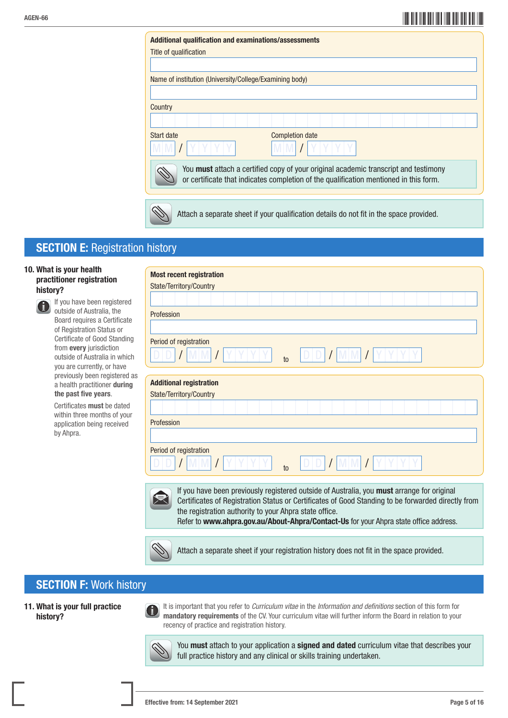## \*AGEN-665\* AGEN-66

| Additional qualification and examinations/assessments                                                                                                                               |
|-------------------------------------------------------------------------------------------------------------------------------------------------------------------------------------|
| Title of qualification                                                                                                                                                              |
|                                                                                                                                                                                     |
| Name of institution (University/College/Examining body)                                                                                                                             |
|                                                                                                                                                                                     |
| Country                                                                                                                                                                             |
|                                                                                                                                                                                     |
| Start date<br><b>Completion date</b>                                                                                                                                                |
|                                                                                                                                                                                     |
| You <b>must</b> attach a certified copy of your original academic transcript and testimony<br>or certificate that indicates completion of the qualification mentioned in this form. |
|                                                                                                                                                                                     |
| Attach a separate sheet if your qualification details do not fit in the space provided.                                                                                             |

## **SECTION E: Registration history**

#### 10. What is your health practitioner registration history?

| <b>f</b> you have been registered<br>outside of Australia, the |
|----------------------------------------------------------------|
| Roard requires a Certificate                                   |

outside of Australia, the Board requires a Certificate of Registration Status or Certificate of Good Standing from every jurisdiction outside of Australia in which you are currently, or have previously been registered as a health practitioner during the past five years.

 Certificates must be dated within three months of your application being received by Ahpra.

| <b>Most recent registration</b>                |
|------------------------------------------------|
| State/Territory/Country                        |
|                                                |
| Profession                                     |
|                                                |
| Period of registration                         |
| D D / M M /<br><b>Y</b> Y Y<br>$\overline{10}$ |
|                                                |
| <b>Additional registration</b>                 |
| $C_{\text{tath}}/T_{\text{orrit}}$             |

| naannomar rogiocration  |    |     |  |  |  |  |  |  |
|-------------------------|----|-----|--|--|--|--|--|--|
| State/Territory/Country |    |     |  |  |  |  |  |  |
|                         |    |     |  |  |  |  |  |  |
| Profession              |    |     |  |  |  |  |  |  |
|                         |    |     |  |  |  |  |  |  |
| Period of registration  |    |     |  |  |  |  |  |  |
|                         | to | D/D |  |  |  |  |  |  |
|                         |    |     |  |  |  |  |  |  |
|                         |    |     |  |  |  |  |  |  |



 If you have been previously registered outside of Australia, you must arrange for original Certificates of Registration Status or Certificates of Good Standing to be forwarded directly from the registration authority to your Ahpra state office.

Refer to www.ahpra.gov.au/About-Ahpra/Contact-Us for your Ahpra state office address.



Attach a separate sheet if your registration history does not fit in the space provided.

## SECTION F: Work history

11. What is your full practice history?

 It is important that you refer to *Curriculum vitae* in the *Information and definitions* section of this form for mandatory requirements of the CV. Your curriculum vitae will further inform the Board in relation to your recency of practice and registration history.



You must attach to your application a signed and dated curriculum vitae that describes your full practice history and any clinical or skills training undertaken.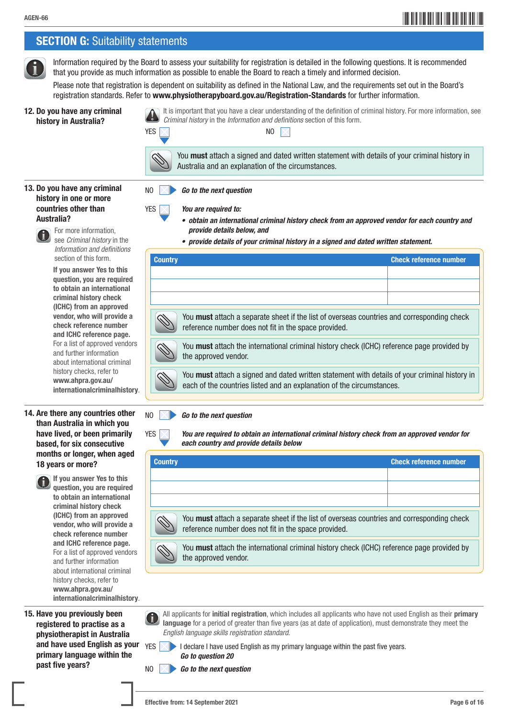## \*AGEN-666\* AGEN-66

## **SECTION G: Suitability statements**

 Information required by the Board to assess your suitability for registration is detailed in the following questions. It is recommended that you provide as much information as possible to enable the Board to reach a timely and informed decision.

Please note that registration is dependent on suitability as defined in the National Law, and the requirements set out in the Board's registration standards. Refer to www.physiotherapyboard.gov.au/Registration-Standards for further information.

#### 12. Do you have any criminal history in Australia?

 It is important that you have a clear understanding of the definition of criminal history. For more information, see A *Criminal history* in the *Information and definitions* section of this form.  $YES \times$ 



NO *Go to the next question*

*provide details below, and*

YES *You are required to:*

You must attach a signed and dated written statement with details of your criminal history in Australia and an explanation of the circumstances.

*• obtain an international criminal history check from an approved vendor for each country and* 

#### 13. Do you have any criminal history in one or more countries other than Australia?

 For more information, see *Criminal history* in the *Information and definitions* section of this form.

If you answer Yes to this question, you are required to obtain an international criminal history check (ICHC) from an approved vendor, who will provide a check reference number and ICHC reference page. For a list of approved vendors and further information about international criminal history checks, refer to www.ahpra.gov.au/ internationalcriminalhistory.

14. Are there any countries other than Australia in which you have lived, or been primarily based, for six consecutive months or longer, when aged 18 years or more?



 If you answer Yes to this question, you are required to obtain an international criminal history check (ICHC) from an approved vendor, who will provide a check reference number and ICHC reference page. For a list of approved vendors and further information about international criminal history checks, refer to www.ahpra.gov.au/ internationalcriminalhistory.

15. Have you previously been registered to practise as a physiotherapist in Australia and have used English as your  $YES$ primary language within the past five years?



#### NO *Go to the next question*



YES *You are required to obtain an international criminal history check from an approved vendor for each country and provide details below*

| <b>Country</b>                                                                                                                                     | <b>Check reference number</b> |
|----------------------------------------------------------------------------------------------------------------------------------------------------|-------------------------------|
|                                                                                                                                                    |                               |
|                                                                                                                                                    |                               |
|                                                                                                                                                    |                               |
| You must attach a separate sheet if the list of overseas countries and corresponding check<br>reference number does not fit in the space provided. |                               |
| You must attach the international criminal history check (ICHC) reference page provided by<br>the approved vendor.                                 |                               |



All applicants for **initial registration**, which includes all applicants who have not used English as their **primary** language for a period of greater than five years (as at date of application), must demonstrate they meet the *English language skills registration standard*.



 $\blacktriangleright$  I declare I have used English as my primary language within the past five years.



NO *Go to the next question*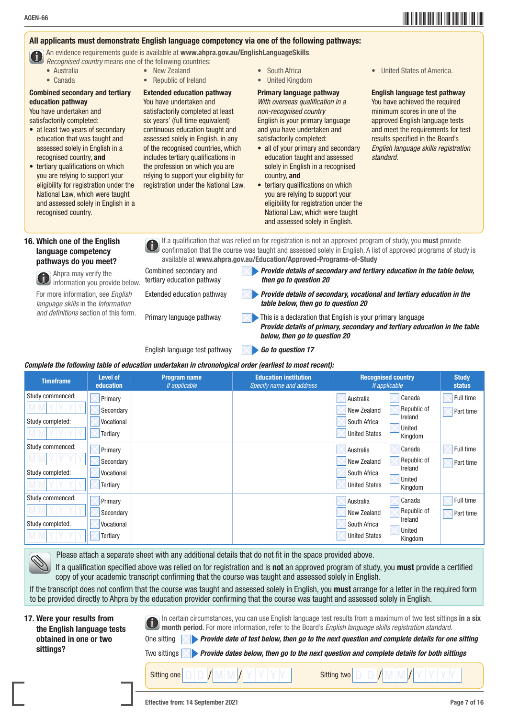#### All applicants must demonstrate English language competency via one of the following pathways:

Extended education pathway You have undertaken and satisfactorily completed at least six years' (full time equivalent) continuous education taught and assessed solely in English, in any of the recognised countries, which includes tertiary qualifications in the profession on which you are relying to support your eligibility for registration under the National Law.

An evidence requirements quide is available at www.ahpra.gov.au/EnglishLanguageSkills.

• New Zealand • Republic of Ireland

GD *Recognised country* means one of the following countries:

- Australia
- Canada

#### Combined secondary and tertiary education pathway

You have undertaken and satisfactorily completed:

- at least two years of secondary education that was taught and assessed solely in English in a recognised country, and
- tertiary qualifications on which you are relying to support your eligibility for registration under the National Law, which were taught and assessed solely in English in a recognised country.

#### • South Africa

• United Kingdom

#### Primary language pathway

*With overseas qualification in a non-recognised country* English is your primary language and you have undertaken and satisfactorily completed:

- all of your primary and secondary education taught and assessed solely in English in a recognised country, and
- tertiary qualifications on which you are relying to support your eligibility for registration under the National Law, which were taught and assessed solely in English.

If a qualification that was relied on for registration is not an approved program of study, you must provide

• United States of America.

#### English language test pathway

You have achieved the required minimum scores in one of the approved English language tests and meet the requirements for test results specified in the Board's *English language skills registration standard*.

#### 16. Which one of the English language competency pathways do you meet?

 Ahpra may verify the information you provide below.

For more information, see *English language skills* in the *Information and definitions* section of this form.

| confirmation that the course was taught and assessed solely in English. A list of approved programs of study is |                                                                                                          |  |  |  |  |  |  |
|-----------------------------------------------------------------------------------------------------------------|----------------------------------------------------------------------------------------------------------|--|--|--|--|--|--|
|                                                                                                                 | available at www.ahpra.gov.au/Education/Approved-Programs-of-Study                                       |  |  |  |  |  |  |
| Combined secondary and<br>tertiary education pathway                                                            | <b>Provide details of secondary and tertiary education in the table below,</b><br>then ao to auestion 20 |  |  |  |  |  |  |
|                                                                                                                 |                                                                                                          |  |  |  |  |  |  |

Extended education pathway *Provide details of secondary, vocational and tertiary education in the table below, then go to question 20*

Primary language pathway **This is a declaration that English is your primary language** *Provide details of primary, secondary and tertiary education in the table below, then go to question 20*

English language test pathway **Go to question 17** 

*Complete the following table of education undertaken in chronological order (earliest to most recent):*

| <b>Timeframe</b>                     | <b>Level of</b><br>education                   | <b>Program name</b><br>If applicable | <b>Education institution</b><br>Specify name and address |                                                                  | <b>Recognised country</b><br>If applicable            | <b>Study</b><br><b>status</b> |
|--------------------------------------|------------------------------------------------|--------------------------------------|----------------------------------------------------------|------------------------------------------------------------------|-------------------------------------------------------|-------------------------------|
| Study commenced:<br>Study completed: | Primary<br>Secondary<br>Vocational<br>Tertiary |                                      |                                                          | Australia<br>New Zealand<br>South Africa<br><b>United States</b> | Canada<br>Republic of<br>Ireland<br>United<br>Kingdom | Full time<br>Part time        |
| Study commenced:<br>Study completed: | Primary<br>Secondary<br>Vocational<br>Tertiary |                                      |                                                          | Australia<br>New Zealand<br>South Africa<br><b>United States</b> | Canada<br>Republic of<br>Ireland<br>United<br>Kingdom | Full time<br>Part time        |
| Study commenced:<br>Study completed: | Primary<br>Secondary<br>Vocational<br>Tertiary |                                      |                                                          | Australia<br>New Zealand<br>South Africa<br><b>United States</b> | Canada<br>Republic of<br>Ireland<br>United<br>Kingdom | Full time<br>Part time        |

Please attach a separate sheet with any additional details that do not fit in the space provided above.

If a qualification specified above was relied on for registration and is not an approved program of study, you must provide a certified copy of your academic transcript confirming that the course was taught and assessed solely in English.

If the transcript does not confirm that the course was taught and assessed solely in English, you must arrange for a letter in the required form to be provided directly to Ahpra by the education provider confirming that the course was taught and assessed solely in English.

#### 17. Were your results from the English language tests obtained in one or two sittings?

In certain circumstances, you can use English language test results from a maximum of two test sittings in a six month period. For more information, refer to the Board's *English language skills registration standard*. One sitting *Provide date of test below, then go to the next question and complete details for one sitting*

Two sittings *Provide dates below, then go to the next question and complete details for both sittings*

Sitting one D D / M M / Y Y Y Y Sitting two D D / M M / Y Y Y Y

#### Effective from: 14 September 2021 **Page 7 of 16** Page 7 of 16



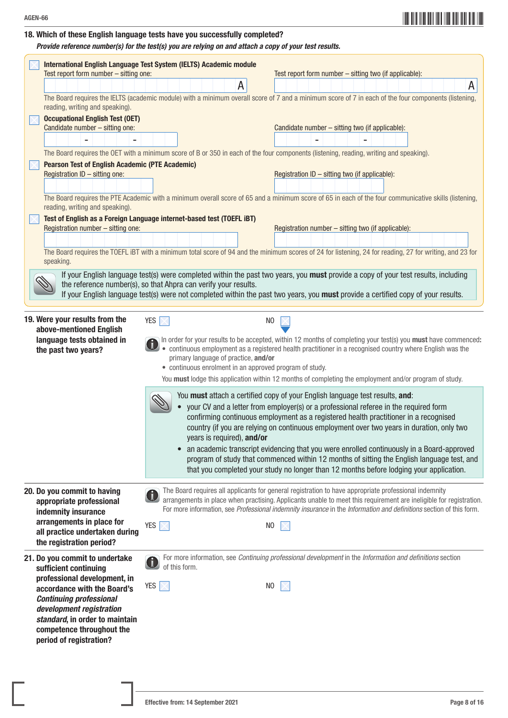## \*AGEN-668\* AGEN-66

### 18. Which of these English language tests have you successfully completed?

*Provide reference number(s) for the test(s) you are relying on and attach a copy of your test results.* 

| Test report form number - sitting one:                                                                                                                                                                              | International English Language Test System (IELTS) Academic module<br>А                                                         | Test report form number - sitting two (if applicable):<br>A                                                                                                                                                                                                                                                                                                                                                                                                                                                                                                                                                                                       |
|---------------------------------------------------------------------------------------------------------------------------------------------------------------------------------------------------------------------|---------------------------------------------------------------------------------------------------------------------------------|---------------------------------------------------------------------------------------------------------------------------------------------------------------------------------------------------------------------------------------------------------------------------------------------------------------------------------------------------------------------------------------------------------------------------------------------------------------------------------------------------------------------------------------------------------------------------------------------------------------------------------------------------|
| reading, writing and speaking).                                                                                                                                                                                     |                                                                                                                                 | The Board requires the IELTS (academic module) with a minimum overall score of 7 and a minimum score of 7 in each of the four components (listening,                                                                                                                                                                                                                                                                                                                                                                                                                                                                                              |
| <b>Occupational English Test (OET)</b><br>Candidate number - sitting one:                                                                                                                                           |                                                                                                                                 | Candidate number - sitting two (if applicable):<br>The Board requires the OET with a minimum score of B or 350 in each of the four components (listening, reading, writing and speaking).                                                                                                                                                                                                                                                                                                                                                                                                                                                         |
| <b>Pearson Test of English Academic (PTE Academic)</b><br>Registration ID - sitting one:                                                                                                                            |                                                                                                                                 | Registration ID - sitting two (if applicable):<br>The Board requires the PTE Academic with a minimum overall score of 65 and a minimum score of 65 in each of the four communicative skills (listening,                                                                                                                                                                                                                                                                                                                                                                                                                                           |
| reading, writing and speaking).                                                                                                                                                                                     | Test of English as a Foreign Language internet-based test (TOEFL iBT)                                                           |                                                                                                                                                                                                                                                                                                                                                                                                                                                                                                                                                                                                                                                   |
| Registration number - sitting one:                                                                                                                                                                                  |                                                                                                                                 | Registration number - sitting two (if applicable):                                                                                                                                                                                                                                                                                                                                                                                                                                                                                                                                                                                                |
| speaking.                                                                                                                                                                                                           |                                                                                                                                 | The Board requires the TOEFL IBT with a minimum total score of 94 and the minimum scores of 24 for listening, 24 for reading, 27 for writing, and 23 for                                                                                                                                                                                                                                                                                                                                                                                                                                                                                          |
|                                                                                                                                                                                                                     | the reference number(s), so that Ahpra can verify your results.                                                                 | If your English language test(s) were completed within the past two years, you must provide a copy of your test results, including<br>If your English language test(s) were not completed within the past two years, you must provide a certified copy of your results.                                                                                                                                                                                                                                                                                                                                                                           |
| 19. Were your results from the<br>above-mentioned English<br>language tests obtained in<br>the past two years?                                                                                                      | <b>YES</b><br>N <sub>0</sub><br>primary language of practice, and/or<br>• continuous enrolment in an approved program of study. | In order for your results to be accepted, within 12 months of completing your test(s) you must have commenced:<br>• continuous employment as a registered health practitioner in a recognised country where English was the<br>You must lodge this application within 12 months of completing the employment and/or program of study.                                                                                                                                                                                                                                                                                                             |
|                                                                                                                                                                                                                     | years is required), and/or                                                                                                      | You must attach a certified copy of your English language test results, and:<br>• your CV and a letter from employer(s) or a professional referee in the required form<br>confirming continuous employment as a registered health practitioner in a recognised<br>country (if you are relying on continuous employment over two years in duration, only two<br>an academic transcript evidencing that you were enrolled continuously in a Board-approved<br>program of study that commenced within 12 months of sitting the English language test, and<br>that you completed your study no longer than 12 months before lodging your application. |
| 20. Do you commit to having<br>appropriate professional<br>indemnity insurance                                                                                                                                      | $\bigoplus$                                                                                                                     | The Board requires all applicants for general registration to have appropriate professional indemnity<br>arrangements in place when practising. Applicants unable to meet this requirement are ineligible for registration.<br>For more information, see Professional indemnity insurance in the Information and definitions section of this form.                                                                                                                                                                                                                                                                                                |
| arrangements in place for<br>all practice undertaken during<br>the registration period?                                                                                                                             | <b>YES</b><br>N <sub>0</sub>                                                                                                    |                                                                                                                                                                                                                                                                                                                                                                                                                                                                                                                                                                                                                                                   |
| 21. Do you commit to undertake<br>sufficient continuing                                                                                                                                                             | $\mathbf 6$<br>of this form.                                                                                                    | For more information, see Continuing professional development in the Information and definitions section                                                                                                                                                                                                                                                                                                                                                                                                                                                                                                                                          |
| professional development, in<br>accordance with the Board's<br><b>Continuing professional</b><br>development registration<br>standard, in order to maintain<br>competence throughout the<br>period of registration? | YES $\mathbb{\times}$<br>N <sub>0</sub>                                                                                         |                                                                                                                                                                                                                                                                                                                                                                                                                                                                                                                                                                                                                                                   |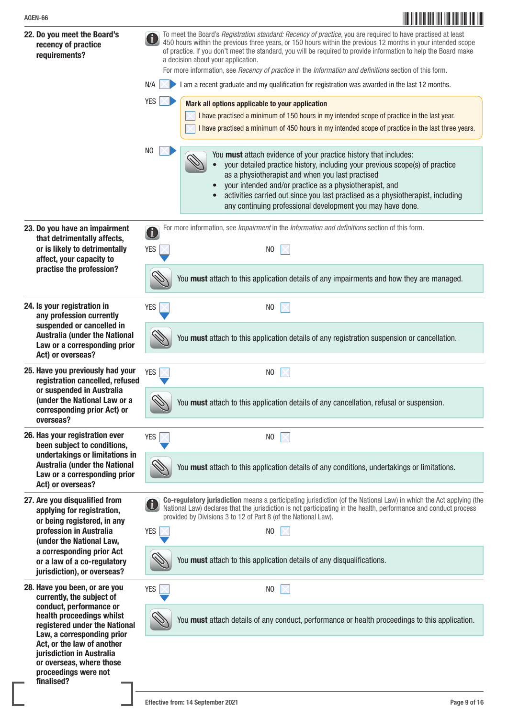| 22. Do you meet the Board's<br>recency of practice<br>requirements?                                                         | To meet the Board's <i>Registration standard: Recency of practice</i> , you are required to have practised at least<br>450 hours within the previous three years, or 150 hours within the previous 12 months in your intended scope<br>of practice. If you don't meet the standard, you will be required to provide information to help the Board make<br>a decision about your application.<br>For more information, see Recency of practice in the Information and definitions section of this form.<br>I am a recent graduate and my qualification for registration was awarded in the last 12 months.<br>N/A<br><b>YES</b><br>Mark all options applicable to your application<br>I have practised a minimum of 150 hours in my intended scope of practice in the last year.<br>I have practised a minimum of 450 hours in my intended scope of practice in the last three years. |
|-----------------------------------------------------------------------------------------------------------------------------|--------------------------------------------------------------------------------------------------------------------------------------------------------------------------------------------------------------------------------------------------------------------------------------------------------------------------------------------------------------------------------------------------------------------------------------------------------------------------------------------------------------------------------------------------------------------------------------------------------------------------------------------------------------------------------------------------------------------------------------------------------------------------------------------------------------------------------------------------------------------------------------|
|                                                                                                                             | N <sub>0</sub><br>You must attach evidence of your practice history that includes:<br>your detailed practice history, including your previous scope(s) of practice<br>as a physiotherapist and when you last practised<br>your intended and/or practice as a physiotherapist, and<br>activities carried out since you last practised as a physiotherapist, including<br>any continuing professional development you may have done.                                                                                                                                                                                                                                                                                                                                                                                                                                                   |
| 23. Do you have an impairment                                                                                               | For more information, see Impairment in the Information and definitions section of this form.<br>đ                                                                                                                                                                                                                                                                                                                                                                                                                                                                                                                                                                                                                                                                                                                                                                                   |
| that detrimentally affects,<br>or is likely to detrimentally                                                                | <b>YES</b><br>N <sub>0</sub>                                                                                                                                                                                                                                                                                                                                                                                                                                                                                                                                                                                                                                                                                                                                                                                                                                                         |
| affect, your capacity to<br>practise the profession?                                                                        | You must attach to this application details of any impairments and how they are managed.                                                                                                                                                                                                                                                                                                                                                                                                                                                                                                                                                                                                                                                                                                                                                                                             |
| 24. Is your registration in<br>any profession currently                                                                     | <b>YES</b><br>N <sub>0</sub>                                                                                                                                                                                                                                                                                                                                                                                                                                                                                                                                                                                                                                                                                                                                                                                                                                                         |
| suspended or cancelled in<br><b>Australia (under the National</b><br>Law or a corresponding prior<br>Act) or overseas?      | You must attach to this application details of any registration suspension or cancellation.                                                                                                                                                                                                                                                                                                                                                                                                                                                                                                                                                                                                                                                                                                                                                                                          |
| 25. Have you previously had your<br>registration cancelled, refused                                                         | <b>YES</b><br>N <sub>0</sub>                                                                                                                                                                                                                                                                                                                                                                                                                                                                                                                                                                                                                                                                                                                                                                                                                                                         |
| or suspended in Australia<br>(under the National Law or a<br>corresponding prior Act) or<br>overseas?                       | You must attach to this application details of any cancellation, refusal or suspension.                                                                                                                                                                                                                                                                                                                                                                                                                                                                                                                                                                                                                                                                                                                                                                                              |
| 26. Has your registration ever<br>been subject to conditions,                                                               | <b>YES</b><br>N <sub>0</sub>                                                                                                                                                                                                                                                                                                                                                                                                                                                                                                                                                                                                                                                                                                                                                                                                                                                         |
| undertakings or limitations in<br><b>Australia (under the National</b><br>Law or a corresponding prior<br>Act) or overseas? | You must attach to this application details of any conditions, undertakings or limitations.                                                                                                                                                                                                                                                                                                                                                                                                                                                                                                                                                                                                                                                                                                                                                                                          |
| 27. Are you disqualified from<br>applying for registration,<br>or being registered, in any<br>profession in Australia       | Co-regulatory jurisdiction means a participating jurisdiction (of the National Law) in which the Act applying (the<br>National Law) declares that the jurisdiction is not participating in the health, performance and conduct process<br>provided by Divisions 3 to 12 of Part 8 (of the National Law).<br><b>YES</b><br>N <sub>0</sub>                                                                                                                                                                                                                                                                                                                                                                                                                                                                                                                                             |
| (under the National Law,<br>a corresponding prior Act<br>or a law of a co-regulatory<br>jurisdiction), or overseas?         | You must attach to this application details of any disqualifications.                                                                                                                                                                                                                                                                                                                                                                                                                                                                                                                                                                                                                                                                                                                                                                                                                |
| 28. Have you been, or are you<br>currently, the subject of                                                                  | <b>YES</b><br>N <sub>0</sub>                                                                                                                                                                                                                                                                                                                                                                                                                                                                                                                                                                                                                                                                                                                                                                                                                                                         |
| conduct, performance or<br>health proceedings whilst<br>registered under the National<br>Law, a corresponding prior         | You must attach details of any conduct, performance or health proceedings to this application.                                                                                                                                                                                                                                                                                                                                                                                                                                                                                                                                                                                                                                                                                                                                                                                       |
| Act, or the law of another<br>jurisdiction in Australia<br>or overseas, where those<br>proceedings were not<br>finalised?   |                                                                                                                                                                                                                                                                                                                                                                                                                                                                                                                                                                                                                                                                                                                                                                                                                                                                                      |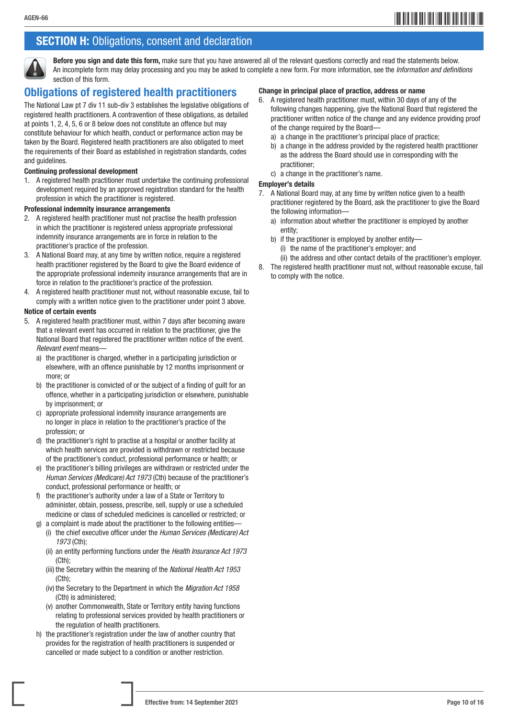## **SECTION H:** Obligations, consent and declaration



Before you sign and date this form, make sure that you have answered all of the relevant questions correctly and read the statements below. An incomplete form may delay processing and you may be asked to complete a new form. For more information, see the *Information and definitions*  section of this form.

## Obligations of registered health practitioners

The National Law pt 7 div 11 sub-div 3 establishes the legislative obligations of registered health practitioners. A contravention of these obligations, as detailed at points 1, 2, 4, 5, 6 or 8 below does not constitute an offence but may constitute behaviour for which health, conduct or performance action may be taken by the Board. Registered health practitioners are also obligated to meet the requirements of their Board as established in registration standards, codes and guidelines.

#### Continuing professional development

1. A registered health practitioner must undertake the continuing professional development required by an approved registration standard for the health profession in which the practitioner is registered.

#### Professional indemnity insurance arrangements

- 2. A registered health practitioner must not practise the health profession in which the practitioner is registered unless appropriate professional indemnity insurance arrangements are in force in relation to the practitioner's practice of the profession.
- 3. A National Board may, at any time by written notice, require a registered health practitioner registered by the Board to give the Board evidence of the appropriate professional indemnity insurance arrangements that are in force in relation to the practitioner's practice of the profession.
- 4. A registered health practitioner must not, without reasonable excuse, fail to comply with a written notice given to the practitioner under point 3 above.

#### Notice of certain events

- 5. A registered health practitioner must, within 7 days after becoming aware that a relevant event has occurred in relation to the practitioner, give the National Board that registered the practitioner written notice of the event. *Relevant event* means
	- a) the practitioner is charged, whether in a participating jurisdiction or elsewhere, with an offence punishable by 12 months imprisonment or more; or
	- b) the practitioner is convicted of or the subject of a finding of guilt for an offence, whether in a participating jurisdiction or elsewhere, punishable by imprisonment; or
	- c) appropriate professional indemnity insurance arrangements are no longer in place in relation to the practitioner's practice of the profession; or
	- d) the practitioner's right to practise at a hospital or another facility at which health services are provided is withdrawn or restricted because of the practitioner's conduct, professional performance or health; or
	- e) the practitioner's billing privileges are withdrawn or restricted under the *Human Services (Medicare) Act 1973* (Cth) because of the practitioner's conduct, professional performance or health; or
	- f) the practitioner's authority under a law of a State or Territory to administer, obtain, possess, prescribe, sell, supply or use a scheduled medicine or class of scheduled medicines is cancelled or restricted; or
	- a complaint is made about the practitioner to the following entities– (i) the chief executive officer under the *Human Services (Medicare) Act 1973* (Cth);
		- (ii) an entity performing functions under the *Health Insurance Act 1973*  (Cth);
		- (iii) the Secretary within the meaning of the *National Health Act 1953*  (Cth);
		- (iv) the Secretary to the Department in which the *Migration Act 1958* (Cth) is administered;
		- (v) another Commonwealth, State or Territory entity having functions relating to professional services provided by health practitioners or the regulation of health practitioners.
	- h) the practitioner's registration under the law of another country that provides for the registration of health practitioners is suspended or cancelled or made subject to a condition or another restriction.

#### Change in principal place of practice, address or name

- 6. A registered health practitioner must, within 30 days of any of the following changes happening, give the National Board that registered the practitioner written notice of the change and any evidence providing proof of the change required by the Board
	- a) a change in the practitioner's principal place of practice;
	- b) a change in the address provided by the registered health practitioner as the address the Board should use in corresponding with the practitioner;
	- c) a change in the practitioner's name.

#### Employer's details

- 7. A National Board may, at any time by written notice given to a health practitioner registered by the Board, ask the practitioner to give the Board the following information
	- a) information about whether the practitioner is employed by another entity;
	- b) if the practitioner is employed by another entity— (i) the name of the practitioner's employer; and
- (ii) the address and other contact details of the practitioner's employer. 8. The registered health practitioner must not, without reasonable excuse, fail to comply with the notice.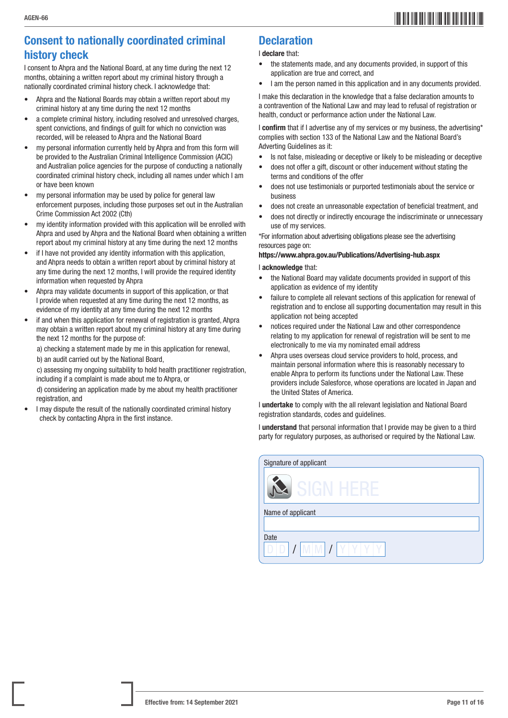## Consent to nationally coordinated criminal history check

I consent to Ahpra and the National Board, at any time during the next 12 months, obtaining a written report about my criminal history through a nationally coordinated criminal history check. I acknowledge that:

- Ahpra and the National Boards may obtain a written report about my criminal history at any time during the next 12 months
- a complete criminal history, including resolved and unresolved charges, spent convictions, and findings of guilt for which no conviction was recorded, will be released to Ahpra and the National Board
- my personal information currently held by Ahpra and from this form will be provided to the Australian Criminal Intelligence Commission (ACIC) and Australian police agencies for the purpose of conducting a nationally coordinated criminal history check, including all names under which I am or have been known
- my personal information may be used by police for general law enforcement purposes, including those purposes set out in the Australian Crime Commission Act 2002 (Cth)
- my identity information provided with this application will be enrolled with Ahpra and used by Ahpra and the National Board when obtaining a written report about my criminal history at any time during the next 12 months
- if I have not provided any identity information with this application, and Ahpra needs to obtain a written report about by criminal history at any time during the next 12 months, I will provide the required identity information when requested by Ahpra
- Ahpra may validate documents in support of this application, or that I provide when requested at any time during the next 12 months, as evidence of my identity at any time during the next 12 months
- if and when this application for renewal of registration is granted, Ahpra may obtain a written report about my criminal history at any time during the next 12 months for the purpose of:

a) checking a statement made by me in this application for renewal, b) an audit carried out by the National Board,

c) assessing my ongoing suitability to hold health practitioner registration, including if a complaint is made about me to Ahpra, or

d) considering an application made by me about my health practitioner registration, and

• I may dispute the result of the nationally coordinated criminal history check by contacting Ahpra in the first instance.

## **Declaration**

#### I declare that:

- the statements made, and any documents provided, in support of this application are true and correct, and
- I am the person named in this application and in any documents provided.

I make this declaration in the knowledge that a false declaration amounts to a contravention of the National Law and may lead to refusal of registration or health, conduct or performance action under the National Law.

I confirm that if I advertise any of my services or my business, the advertising\* complies with section 133 of the National Law and the National Board's Adverting Guidelines as it:

- Is not false, misleading or deceptive or likely to be misleading or deceptive
- does not offer a gift, discount or other inducement without stating the terms and conditions of the offer
- does not use testimonials or purported testimonials about the service or business
- does not create an unreasonable expectation of beneficial treatment, and
- does not directly or indirectly encourage the indiscriminate or unnecessary use of my services.

\*For information about advertising obligations please see the advertising resources page on:

#### <https://www.ahpra.gov.au/Publications/Advertising-hub.aspx>

#### I acknowledge that:

- the National Board may validate documents provided in support of this application as evidence of my identity
- failure to complete all relevant sections of this application for renewal of registration and to enclose all supporting documentation may result in this application not being accepted
- notices required under the National Law and other correspondence relating to my application for renewal of registration will be sent to me electronically to me via my nominated email address
- Ahpra uses overseas cloud service providers to hold, process, and maintain personal information where this is reasonably necessary to enable Ahpra to perform its functions under the National Law. These providers include Salesforce, whose operations are located in Japan and the United States of America.

I undertake to comply with the all relevant legislation and National Board registration standards, codes and guidelines.

I understand that personal information that I provide may be given to a third party for regulatory purposes, as authorised or required by the National Law.

| Signature of applicant |
|------------------------|
| <b>SIGN HE</b>         |
| Name of applicant      |
|                        |
| Date                   |
| MMI<br> Y Y Y          |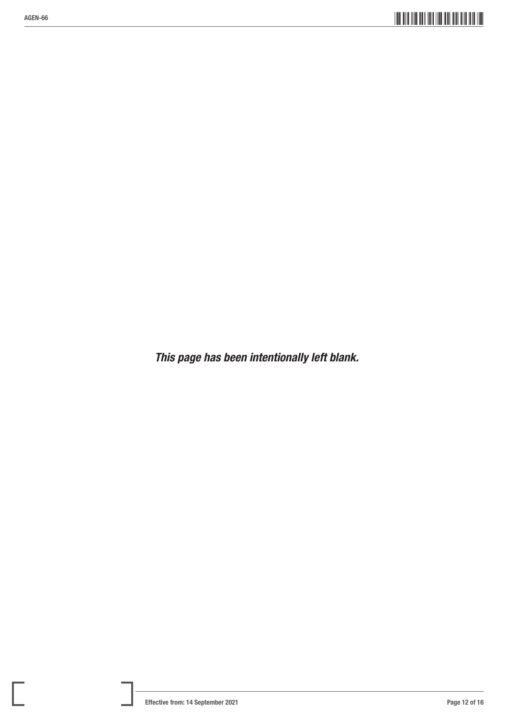*This page has been intentionally left blank.*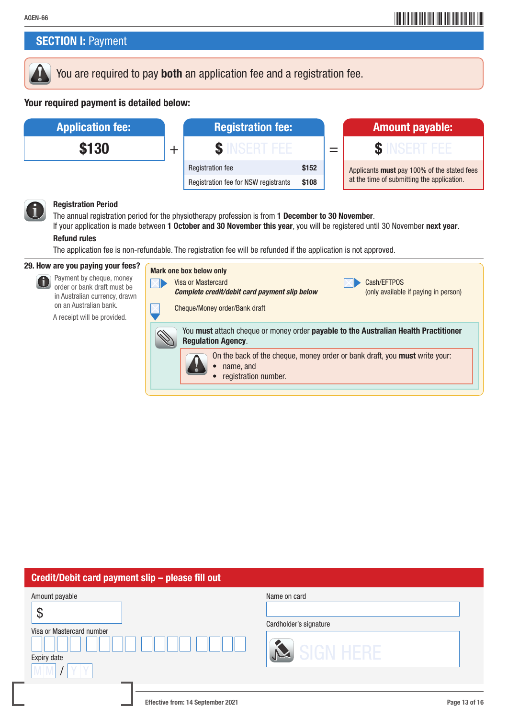## \*AGEN-6613\* AGEN-66



| Credit/Debit card payment slip - please fill out                 |                                                     |  |  |  |  |  |  |
|------------------------------------------------------------------|-----------------------------------------------------|--|--|--|--|--|--|
| Amount payable<br>\$<br>Visa or Mastercard number<br>Expiry date | Name on card<br>Cardholder's signature<br>SIGN HERE |  |  |  |  |  |  |
| Effective from: 14 September 2021                                | Page 13 of 16                                       |  |  |  |  |  |  |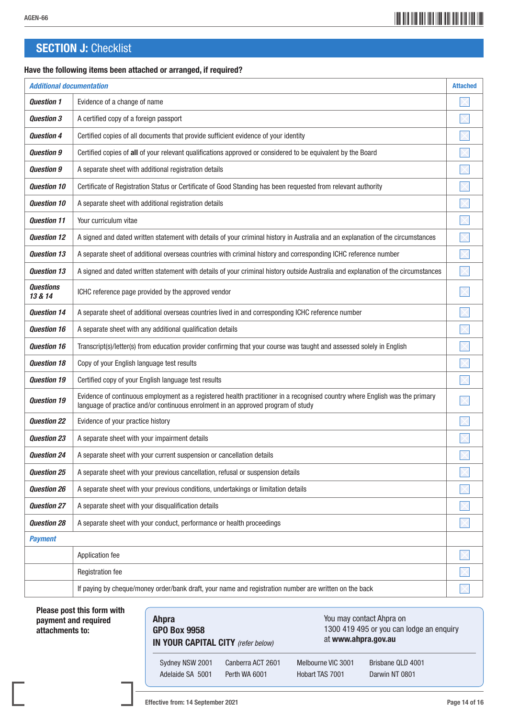## AGEN-66**14 AGEN-66**

## **SECTION J: Checklist**

#### Have the following items been attached or arranged, if required?

| <b>Additional documentation</b> |                                                                                                                                                                                                                 |  |  |
|---------------------------------|-----------------------------------------------------------------------------------------------------------------------------------------------------------------------------------------------------------------|--|--|
| <b>Question 1</b>               | Evidence of a change of name                                                                                                                                                                                    |  |  |
| <b>Question 3</b>               | A certified copy of a foreign passport                                                                                                                                                                          |  |  |
| <b>Question 4</b>               | Certified copies of all documents that provide sufficient evidence of your identity                                                                                                                             |  |  |
| <b>Question 9</b>               | Certified copies of all of your relevant qualifications approved or considered to be equivalent by the Board                                                                                                    |  |  |
| <b>Question 9</b>               | A separate sheet with additional registration details                                                                                                                                                           |  |  |
| <b>Question 10</b>              | Certificate of Registration Status or Certificate of Good Standing has been requested from relevant authority                                                                                                   |  |  |
| <b>Question 10</b>              | A separate sheet with additional registration details                                                                                                                                                           |  |  |
| <b>Question 11</b>              | Your curriculum vitae                                                                                                                                                                                           |  |  |
| <b>Question 12</b>              | A signed and dated written statement with details of your criminal history in Australia and an explanation of the circumstances                                                                                 |  |  |
| <b>Question 13</b>              | A separate sheet of additional overseas countries with criminal history and corresponding ICHC reference number                                                                                                 |  |  |
| <b>Question 13</b>              | A signed and dated written statement with details of your criminal history outside Australia and explanation of the circumstances                                                                               |  |  |
| <b>Questions</b><br>13 & 14     | ICHC reference page provided by the approved vendor                                                                                                                                                             |  |  |
| <b>Question 14</b>              | A separate sheet of additional overseas countries lived in and corresponding ICHC reference number                                                                                                              |  |  |
| <b>Question 16</b>              | A separate sheet with any additional qualification details                                                                                                                                                      |  |  |
| <b>Question 16</b>              | Transcript(s)/letter(s) from education provider confirming that your course was taught and assessed solely in English                                                                                           |  |  |
| <b>Question 18</b>              | Copy of your English language test results                                                                                                                                                                      |  |  |
| <b>Question 19</b>              | Certified copy of your English language test results                                                                                                                                                            |  |  |
| <b>Question 19</b>              | Evidence of continuous employment as a registered health practitioner in a recognised country where English was the primary<br>language of practice and/or continuous enrolment in an approved program of study |  |  |
| <b>Question 22</b>              | Evidence of your practice history                                                                                                                                                                               |  |  |
| <b>Question 23</b>              | A separate sheet with your impairment details                                                                                                                                                                   |  |  |
| <b>Question 24</b>              | A separate sheet with your current suspension or cancellation details                                                                                                                                           |  |  |
| <b>Question 25</b>              | A separate sheet with your previous cancellation, refusal or suspension details                                                                                                                                 |  |  |
| <b>Question 26</b>              | A separate sheet with your previous conditions, undertakings or limitation details                                                                                                                              |  |  |
| <b>Question 27</b>              | A separate sheet with your disqualification details                                                                                                                                                             |  |  |
| <b>Question 28</b>              | A separate sheet with your conduct, performance or health proceedings                                                                                                                                           |  |  |
| <b>Payment</b>                  |                                                                                                                                                                                                                 |  |  |
|                                 | Application fee                                                                                                                                                                                                 |  |  |
|                                 | Registration fee                                                                                                                                                                                                |  |  |
|                                 | If paying by cheque/money order/bank draft, your name and registration number are written on the back                                                                                                           |  |  |

Please post this form with payment and required attachments to:

| <b>Ahpra</b>                       |                   | You may contact Ahpra on                 |                   |  |
|------------------------------------|-------------------|------------------------------------------|-------------------|--|
| <b>GPO Box 9958</b>                |                   | 1300 419 495 or you can lodge an enquiry |                   |  |
| IN YOUR CAPITAL CITY (refer below) |                   | at www.ahpra.gov.au                      |                   |  |
| Sydney NSW 2001                    | Canberra ACT 2601 | Melbourne VIC 3001                       | Brisbane QLD 4001 |  |
| Adelaide SA 5001                   | Perth WA 6001     | Hobart TAS 7001                          | Darwin NT 0801    |  |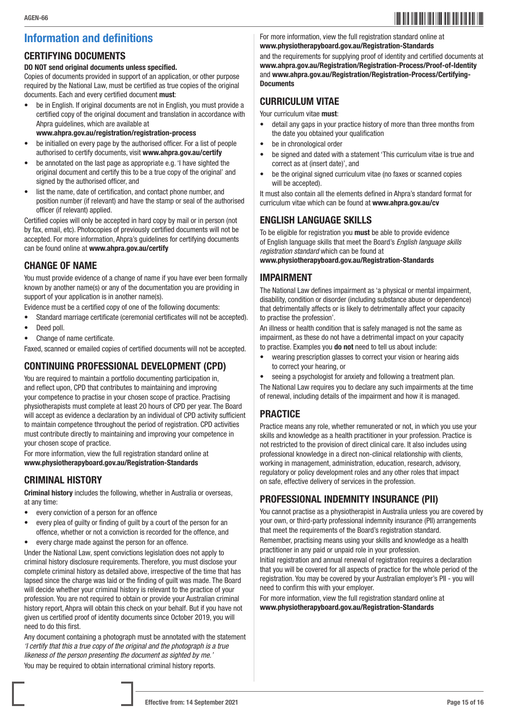## Information and definitions

## CERTIFYING DOCUMENTS

#### DO NOT send original documents unless specified.

Copies of documents provided in support of an application, or other purpose required by the National Law, must be certified as true copies of the original documents. Each and every certified document must:

- be in English. If original documents are not in English, you must provide a certified copy of the original document and translation in accordance with Ahpra guidelines, which are available at www.ahpra.gov.au/registration/registration-process
- be initialled on every page by the authorised officer. For a list of people authorised to certify documents, visit www.ahpra.gov.au/certify
- be annotated on the last page as appropriate e.g. 'I have sighted the original document and certify this to be a true copy of the original' and signed by the authorised officer, and
- list the name, date of certification, and contact phone number, and position number (if relevant) and have the stamp or seal of the authorised officer (if relevant) applied.

Certified copies will only be accepted in hard copy by mail or in person (not by fax, email, etc). Photocopies of previously certified documents will not be accepted. For more information, Ahpra's guidelines for certifying documents can be found online at www.ahpra.gov.au/certify

### CHANGE OF NAME

You must provide evidence of a change of name if you have ever been formally known by another name(s) or any of the documentation you are providing in support of your application is in another name(s).

Evidence must be a certified copy of one of the following documents:

- Standard marriage certificate (ceremonial certificates will not be accepted).
- Deed poll.
- Change of name certificate.

Faxed, scanned or emailed copies of certified documents will not be accepted.

## CONTINUING PROFESSIONAL DEVELOPMENT (CPD)

You are required to maintain a portfolio documenting participation in, and reflect upon, CPD that contributes to maintaining and improving your competence to practise in your chosen scope of practice. Practising physiotherapists must complete at least 20 hours of CPD per year. The Board will accept as evidence a declaration by an individual of CPD activity sufficient to maintain competence throughout the period of registration. CPD activities must contribute directly to maintaining and improving your competence in your chosen scope of practice.

For more information, view the full registration standard online at www.physiotherapyboard.gov.au/Registration-Standards

### CRIMINAL HISTORY

Criminal history includes the following, whether in Australia or overseas, at any time:

- every conviction of a person for an offence
- every plea of guilty or finding of guilt by a court of the person for an offence, whether or not a conviction is recorded for the offence, and
- every charge made against the person for an offence.

Under the National Law, spent convictions legislation does not apply to criminal history disclosure requirements. Therefore, you must disclose your complete criminal history as detailed above, irrespective of the time that has lapsed since the charge was laid or the finding of guilt was made. The Board will decide whether your criminal history is relevant to the practice of your profession. You are not required to obtain or provide your Australian criminal history report, Ahpra will obtain this check on your behalf. But if you have not given us certified proof of identity documents since October 2019, you will need to do this first.

Any document containing a photograph must be annotated with the statement *'I certify that this a true copy of the original and the photograph is a true likeness of the person presenting the document as sighted by me.'* You may be required to obtain international criminal history reports.

For more information, view the full registration standard online at www.physiotherapyboard.gov.au/Registration-Standards

and the requirements for supplying proof of identity and certified documents at www.ahpra.gov.au/Registration/Registration-Process/Proof-of-Identity and www.ahpra.gov.au/Registration/Registration-Process/Certifying-**Documents** 

### CURRICULUM VITAE

Your curriculum vitae must:

- detail any gaps in your practice history of more than three months from the date you obtained your qualification
- be in chronological order
- be signed and dated with a statement 'This curriculum vitae is true and correct as at (insert date)', and
- be the original signed curriculum vitae (no faxes or scanned copies will be accepted).

It must also contain all the elements defined in Ahpra's standard format for curriculum vitae which can be found at www.ahpra.gov.au/cv

## ENGLISH LANGUAGE SKILLS

To be eligible for registration you **must** be able to provide evidence of English language skills that meet the Board's *English language skills registration standard* which can be found at www.physiotherapyboard.gov.au/Registration-Standards

### IMPAIRMENT

The National Law defines impairment as 'a physical or mental impairment, disability, condition or disorder (including substance abuse or dependence) that detrimentally affects or is likely to detrimentally affect your capacity to practise the profession'.

An illness or health condition that is safely managed is not the same as impairment, as these do not have a detrimental impact on your capacity to practise. Examples you do not need to tell us about include:

- wearing prescription glasses to correct your vision or hearing aids to correct your hearing, or
- seeing a psychologist for anxiety and following a treatment plan.

The National Law requires you to declare any such impairments at the time of renewal, including details of the impairment and how it is managed.

## **PRACTICE**

Practice means any role, whether remunerated or not, in which you use your skills and knowledge as a health practitioner in your profession. Practice is not restricted to the provision of direct clinical care. It also includes using professional knowledge in a direct non-clinical relationship with clients, working in management, administration, education, research, advisory, regulatory or policy development roles and any other roles that impact on safe, effective delivery of services in the profession.

## PROFESSIONAL INDEMNITY INSURANCE (PII)

You cannot practise as a physiotherapist in Australia unless you are covered by your own, or third-party professional indemnity insurance (PII) arrangements that meet the requirements of the Board's registration standard.

Remember, practising means using your skills and knowledge as a health practitioner in any paid or unpaid role in your profession.

Initial registration and annual renewal of registration requires a declaration that you will be covered for all aspects of practice for the whole period of the registration. You may be covered by your Australian employer's PII - you will need to confirm this with your employer.

For more information, view the full registration standard online at www.physiotherapyboard.gov.au/Registration-Standards